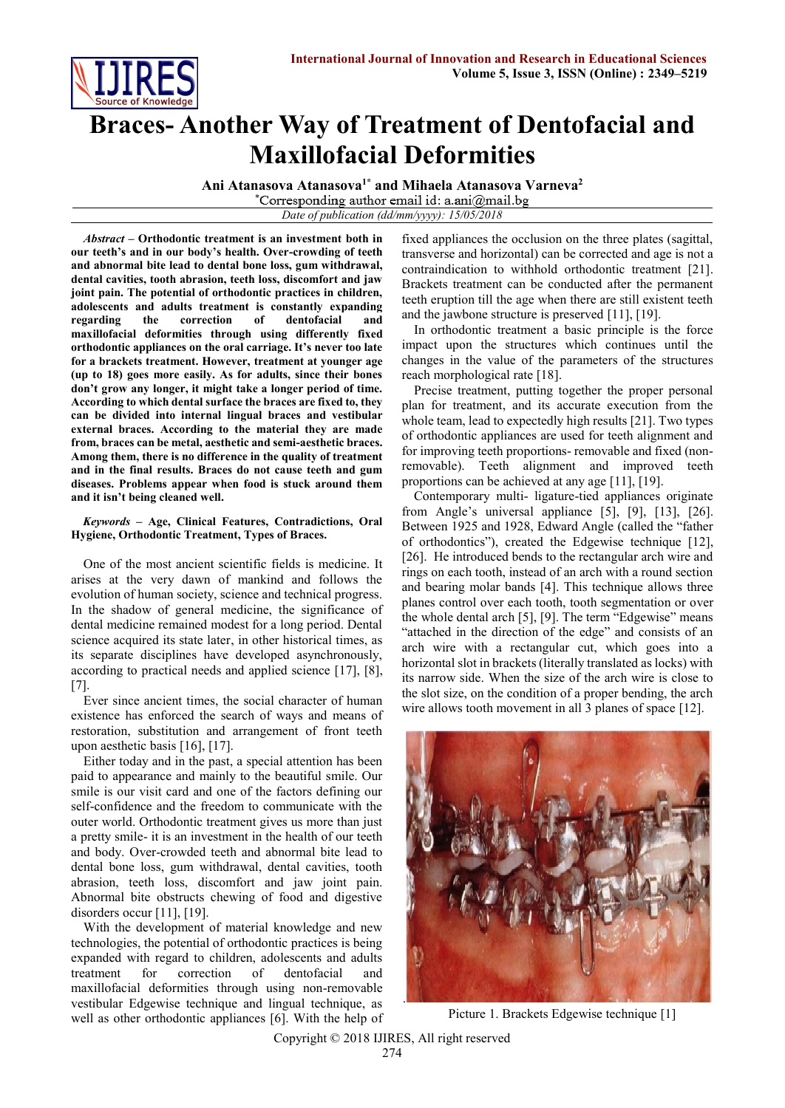

## **Braces- Another Way of Treatment of Dentofacial and Maxillofacial Deformities**

**Ani Atanasova Atanasova1\* and Mihaela Atanasova Varneva<sup>2</sup>**

*Date of publication (dd/mm/yyyy): 15/05/2018*

*Abstract* **– Orthodontic treatment is an investment both in our teeth's and in our body's health. Over-crowding of teeth and abnormal bite lead to dental bone loss, gum withdrawal, dental cavities, tooth abrasion, teeth loss, discomfort and jaw joint pain. The potential of orthodontic practices in children, adolescents and adults treatment is constantly expanding regarding the correction of dentofacial and maxillofacial deformities through using differently fixed orthodontic appliances on the oral carriage. It's never too late for a brackets treatment. However, treatment at younger age (up to 18) goes more easily. As for adults, since their bones don't grow any longer, it might take a longer period of time. According to which dental surface the braces are fixed to, they can be divided into internal lingual braces and vestibular external braces. According to the material they are made from, braces can be metal, aesthetic and semi-aesthetic braces. Among them, there is no difference in the quality of treatment and in the final results. Braces do not cause teeth and gum diseases. Problems appear when food is stuck around them and it isn't being cleaned well.**

## *Keywords* **– Age, Clinical Features, Contradictions, Oral Hygiene, Orthodontic Treatment, Types of Braces.**

One of the most ancient scientific fields is medicine. It arises at the very dawn of mankind and follows the evolution of human society, science and technical progress. In the shadow of general medicine, the significance of dental medicine remained modest for a long period. Dental science acquired its state later, in other historical times, as its separate disciplines have developed asynchronously, according to practical needs and applied science [17], [8], [7].

Ever since ancient times, the social character of human existence has enforced the search of ways and means of restoration, substitution and arrangement of front teeth upon aesthetic basis [16], [17].

Either today and in the past, a special attention has been paid to appearance and mainly to the beautiful smile. Our smile is our visit card and one of the factors defining our self-confidence and the freedom to communicate with the outer world. Orthodontic treatment gives us more than just a pretty smile- it is an investment in the health of our teeth and body. Over-crowded teeth and abnormal bite lead to dental bone loss, gum withdrawal, dental cavities, tooth abrasion, teeth loss, discomfort and jaw joint pain. Abnormal bite obstructs chewing of food and digestive disorders occur [11], [19].

With the development of material knowledge and new technologies, the potential of orthodontic practices is being expanded with regard to children, adolescents and adults treatment for correction of dentofacial and maxillofacial deformities through using non-removable vestibular Edgewise technique and lingual technique, as well as other orthodontic appliances [6]. With the help of

fixed appliances the occlusion on the three plates (sagittal, transverse and horizontal) can be corrected and age is not a contraindication to withhold orthodontic treatment [21]. Brackets treatment can be conducted after the permanent teeth eruption till the age when there are still existent teeth and the jawbone structure is preserved [11], [19].

In orthodontic treatment a basic principle is the force impact upon the structures which continues until the changes in the value of the parameters of the structures reach morphological rate [18].

Precise treatment, putting together the proper personal plan for treatment, and its accurate execution from the whole team, lead to expectedly high results [21]. Two types of orthodontic appliances are used for teeth alignment and for improving teeth proportions- removable and fixed (nonremovable). Teeth alignment and improved teeth proportions can be achieved at any age [11], [19].

Contemporary multi- ligature-tied appliances originate from Angle's universal appliance [5], [9], [13], [26]. Between 1925 and 1928, Edward Angle (called the "father of orthodontics"), created the Edgewise technique [12], [26]. He introduced bends to the rectangular arch wire and rings on each tooth, instead of an arch with a round section and bearing molar bands [4]. This technique allows three planes control over each tooth, tooth segmentation or over the whole dental arch [5], [9]. The term "Edgewise" means "attached in the direction of the edge" and consists of an arch wire with a rectangular cut, which goes into a horizontal slot in brackets (literally translated as locks) with its narrow side. When the size of the arch wire is close to the slot size, on the condition of a proper bending, the arch wire allows tooth movement in all 3 planes of space [12].



Picture 1. Brackets Edgewise technique [1]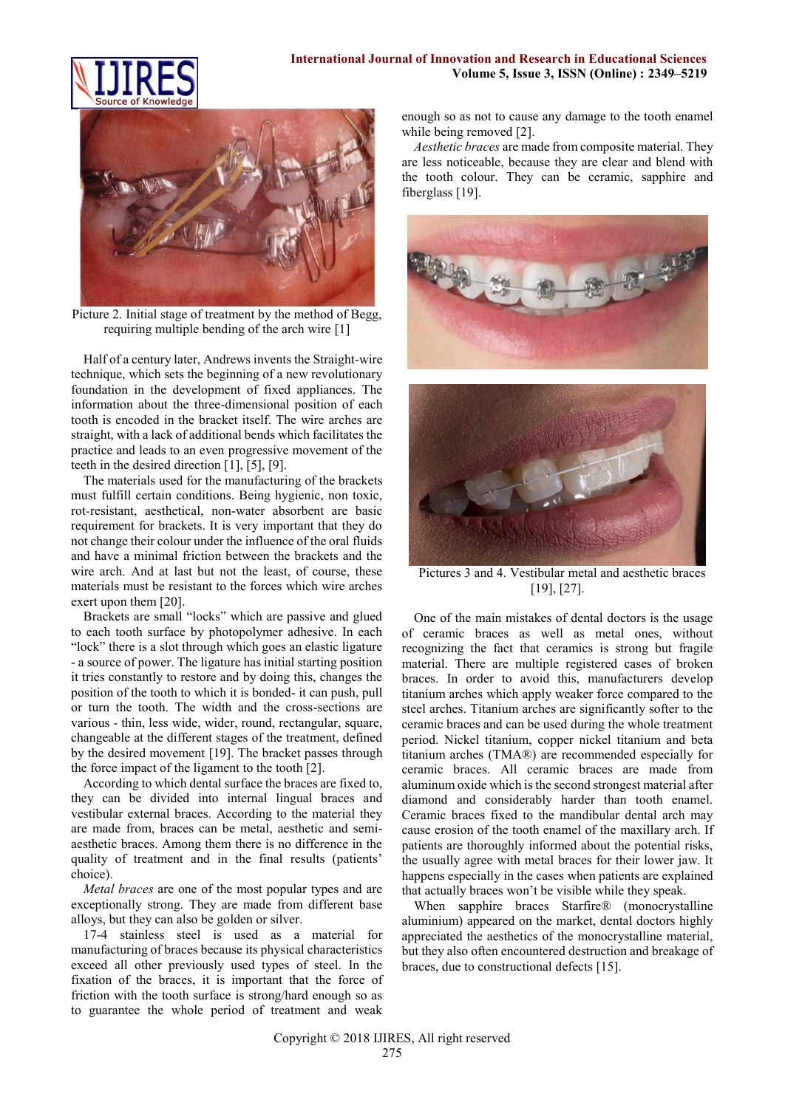



Picture 2. Initial stage of treatment by the method of Begg, requiring multiple bending of the arch wire [1]

Half of a century later, Andrews invents the Straight-wire technique, which sets the beginning of a new revolutionary foundation in the development of fixed appliances. The information about the three-dimensional position of each tooth is encoded in the bracket itself. The wire arches are straight, with a lack of additional bends which facilitates the practice and leads to an even progressive movement of the teeth in the desired direction [1], [5], [9].

The materials used for the manufacturing of the brackets must fulfill certain conditions. Being hygienic, non toxic, rot*-*resistant, aesthetical, non-water absorbent are basic requirement for brackets. It is very important that they do not change their colour under the influence of the oral fluids and have a minimal friction between the brackets and the wire arch. And at last but not the least, of course, these materials must be resistant to the forces which wire arches exert upon them [20].

Brackets are small "locks" which are passive and glued to each tooth surface by photopolymer adhesive. In each "lock" there is a slot through which goes an elastic ligature - a source of power. The ligature has initial starting position it tries constantly to restore and by doing this, changes the position of the tooth to which it is bonded- it can push, pull or turn the tooth. The width and the cross-sections are various - thin, less wide, wider, round, rectangular, square, changeable at the different stages of the treatment, defined by the desired movement [19]. The bracket passes through the force impact of the ligament to the tooth [2].

According to which dental surface the braces are fixed to, they can be divided into internal lingual braces and vestibular external braces. According to the material they are made from, braces can be metal, aesthetic and semiaesthetic braces. Among them there is no difference in the quality of treatment and in the final results (patients' choice).

*Metal braces* are one of the most popular types and are exceptionally strong. They are made from different base alloys, but they can also be golden or silver.

17-4 stainless steel is used as a material for manufacturing of braces because its physical characteristics exceed all other previously used types of steel. In the fixation of the braces, it is important that the force of friction with the tooth surface is strong/hard enough so as to guarantee the whole period of treatment and weak

enough so as not to cause any damage to the tooth enamel while being removed [2].

*Aesthetic braces* are made from composite material. They are less noticeable, because they are clear and blend with the tooth colour. They can be ceramic, sapphire and fiberglass [19].





Pictures 3 and 4. Vestibular metal and aesthetic braces [19], [27].

One of the main mistakes of dental doctors is the usage of ceramic braces as well as metal ones, without recognizing the fact that ceramics is strong but fragile material. There are multiple registered cases of broken braces. In order to avoid this, manufacturers develop titanium arches which apply weaker force compared to the steel arches. Titanium arches are significantly softer to the ceramic braces and can be used during the whole treatment period. Nickel titanium, copper nickel titanium and beta titanium arches (TMA®) are recommended especially for ceramic braces. All ceramic braces are made from aluminum oxide which is the second strongest material after diamond and considerably harder than tooth enamel. Ceramic braces fixed to the mandibular dental arch may cause erosion of the tooth enamel of the maxillary arch. If patients are thoroughly informed about the potential risks, the usually agree with metal braces for their lower jaw. It happens especially in the cases when patients are explained that actually braces won't be visible while they speak.

When sapphire braces Starfire® (monocrystalline aluminium) appeared on the market, dental doctors highly appreciated the aesthetics of the monocrystalline material, but they also often encountered destruction and breakage of braces, due to constructional defects [15].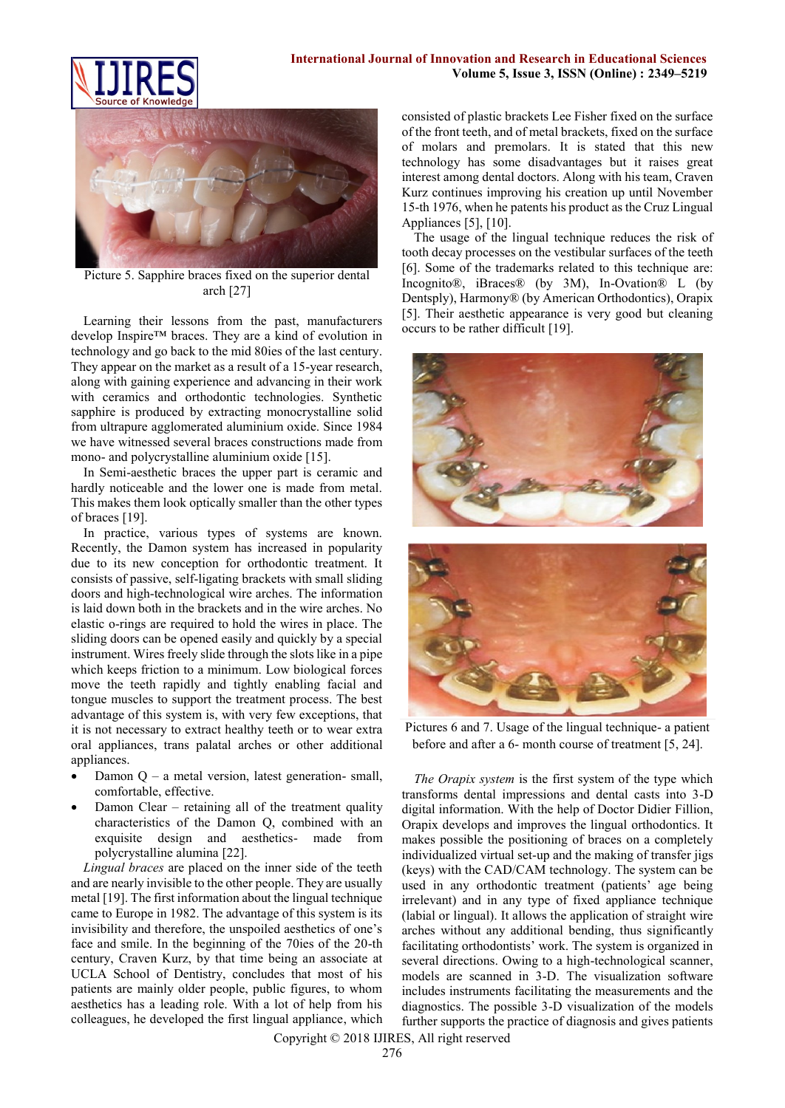



Picture 5. Sapphire braces fixed on the superior dental arch [27]

Learning their lessons from the past, manufacturers develop Inspire™ braces. They are a kind of evolution in technology and go back to the mid 80ies of the last century. They appear on the market as a result of a 15-year research, along with gaining experience and advancing in their work with ceramics and orthodontic technologies. Synthetic sapphire is produced by extracting monocrystalline solid from ultrapure agglomerated aluminium oxide. Since 1984 we have witnessed several braces constructions made from mono- and polycrystalline aluminium oxide [15].

In Semi-aesthetic braces the upper part is ceramic and hardly noticeable and the lower one is made from metal. This makes them look optically smaller than the other types of braces [19].

In practice, various types of systems are known. Recently, the Damon system has increased in popularity due to its new conception for orthodontic treatment. It consists of passive, [self-ligating](https://en.wikipedia.org/wiki/Self-ligating_braces) brackets with small sliding doors and high-technological wire arches. The information is laid down both in the brackets and in the wire arches. No elastic [o-rings](https://en.wikipedia.org/wiki/O-ring) are required to hold the wires in place. The sliding doors can be opened easily and quickly by a special instrument. Wires freely slide through the slots like in a pipe which keeps friction to a minimum. Low biological forces move the teeth rapidly and tightly enabling facial and tongue muscles to support the treatment process. The best advantage of this system is, with very few exceptions, that it is not necessary to extract healthy teeth or to wear extra oral appliances, trans palatal arches or other additional appliances.

- Damon  $Q a$  metal version, latest generation- small, comfortable, effective.
- Damon Clear retaining all of the treatment quality characteristics of the Damon Q, combined with an exquisite design and aesthetics- made from polycrystalline alumina [22].

*Lingual braces* are placed on the inner side of the teeth and are nearly invisible to the other people. They are usually metal [19]. The first information about the lingual technique came to Europe in 1982. The advantage of this system is its invisibility and therefore, the unspoiled aesthetics of one's face and smile. In the beginning of the 70ies of the 20-th century, Craven Kurz, by that time being an associate at UCLA School of Dentistry, concludes that most of his patients are mainly older people, public figures, to whom aesthetics has a leading role. With a lot of help from his colleagues, he developed the first lingual appliance, which consisted of plastic brackets Lee Fisher fixed on the surface of the front teeth, and of metal brackets, fixed on the surface of molars and premolars. It is stated that this new technology has some disadvantages but it raises great interest among dental doctors. Along with his team, Craven Kurz continues improving his creation up until November 15-th 1976, when he patents his product as the Cruz Lingual Appliances [5], [10].

The usage of the lingual technique reduces the risk of tooth decay processes on the vestibular surfaces of the teeth [6]. Some of the trademarks related to this technique are: Incognito®, iBraces® (by 3M), In-Ovation® L (by Dentsply), Harmony® (by American Orthodontics), Orapix [5]. Their aesthetic appearance is very good but cleaning occurs to be rather difficult [19].





Pictures 6 and 7. Usage of the lingual technique- a patient before and after a 6- month course of treatment [5, 24].

*The Orapix system* is the first system of the type which transforms dental impressions and dental casts into 3-D digital information. With the help of Doctor Didier Fillion, Orapix develops and improves the lingual orthodontics. It makes possible the positioning of braces on a completely individualized virtual set-up and the making of transfer jigs (keys) with the CAD/CAM technology. The system can be used in any orthodontic treatment (patients' age being irrelevant) and in any type of fixed appliance technique (labial or lingual). It allows the application of straight wire arches without any additional bending, thus significantly facilitating orthodontists' work. The system is organized in several directions. Owing to a high-technological scanner, models are scanned in 3-D. The visualization software includes instruments facilitating the measurements and the diagnostics. The possible 3-D visualization of the models further supports the practice of diagnosis and gives patients

Copyright © 2018 IJIRES, All right reserved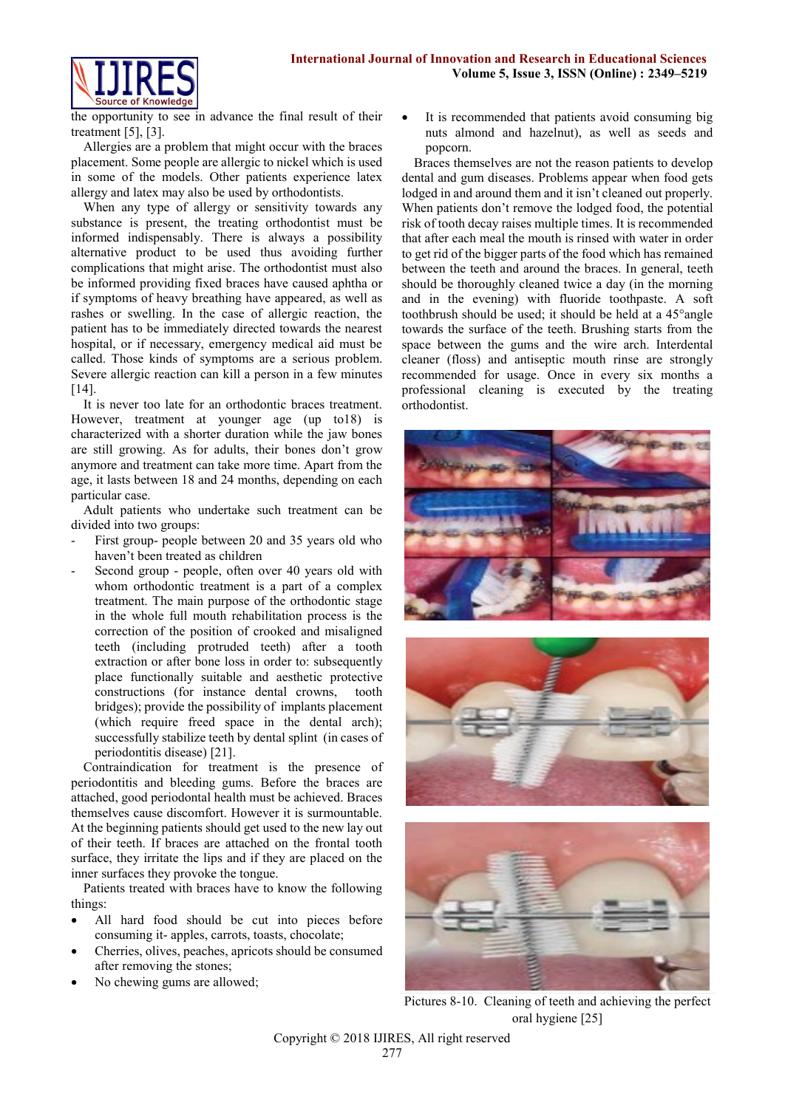

the opportunity to see in advance the final result of their treatment [5], [3].

Allergies are a problem that might occur with the braces placement. Some people are allergic to nickel which is used in some of the models. Other patients experience latex allergy and latex may also be used by orthodontists.

When any type of allergy or sensitivity towards any substance is present, the treating orthodontist must be informed indispensably. There is always a possibility alternative product to be used thus avoiding further complications that might arise. The orthodontist must also be informed providing fixed braces have caused aphtha or if symptoms of heavy breathing have appeared, as well as rashes or swelling. In the case of allergic reaction, the patient has to be immediately directed towards the nearest hospital, or if necessary, emergency medical aid must be called. Those kinds of symptoms are a serious problem. Severe allergic reaction can kill a person in a few minutes [14].

It is never too late for an orthodontic braces treatment. However, treatment at younger age (up to18) is characterized with a shorter duration while the jaw bones are still growing. As for adults, their bones don't grow anymore and treatment can take more time. Apart from the age, it lasts between 18 and 24 months, depending on each particular case.

Adult patients who undertake such treatment can be divided into two groups:

- First group- people between 20 and 35 years old who haven't been treated as children
- Second group people, often over 40 years old with whom orthodontic treatment is a part of a complex treatment. The main purpose of the orthodontic stage in the whole full mouth rehabilitation process is the correction of the position of crooked and misaligned teeth (including protruded teeth) after a tooth extraction or after bone loss in order to: subsequently place functionally suitable and aesthetic protective constructions (for instance dental crowns, tooth bridges); provide the possibility of implants placement (which require freed space in the dental arch); successfully stabilize teeth by dental splint (in cases of periodontitis disease) [21].

Contraindication for treatment is the presence of periodontitis and bleeding gums. Before the braces are attached, good periodontal health must be achieved. Braces themselves cause discomfort. However it is surmountable. At the beginning patients should get used to the new lay out of their teeth. If braces are attached on the frontal tooth surface, they irritate the lips and if they are placed on the inner surfaces they provoke the tongue.

Patients treated with braces have to know the following things:

- All hard food should be cut into pieces before consuming it- apples, carrots, toasts, chocolate;
- Cherries, olives, peaches, apricots should be consumed after removing the stones;
- No chewing gums are allowed;

 It is recommended that patients avoid consuming big nuts almond and hazelnut), as well as seeds and popcorn.

Braces themselves are not the reason patients to develop dental and gum diseases. Problems appear when food gets lodged in and around them and it isn't cleaned out properly. When patients don't remove the lodged food, the potential risk of tooth decay raises multiple times. It is recommended that after each meal the mouth is rinsed with water in order to get rid of the bigger parts of the food which has remained between the teeth and around the braces. In general, teeth should be thoroughly cleaned twice a day (in the morning and in the evening) with fluoride toothpaste. A soft toothbrush should be used; it should be held at a 45°angle towards the surface of the teeth. Brushing starts from the space between the gums and the wire arch. Interdental cleaner (floss) and antiseptic mouth rinse are strongly recommended for usage. Once in every six months a professional cleaning is executed by the treating orthodontist.







Pictures 8-10. Cleaning of teeth and achieving the perfect oral hygiene [25]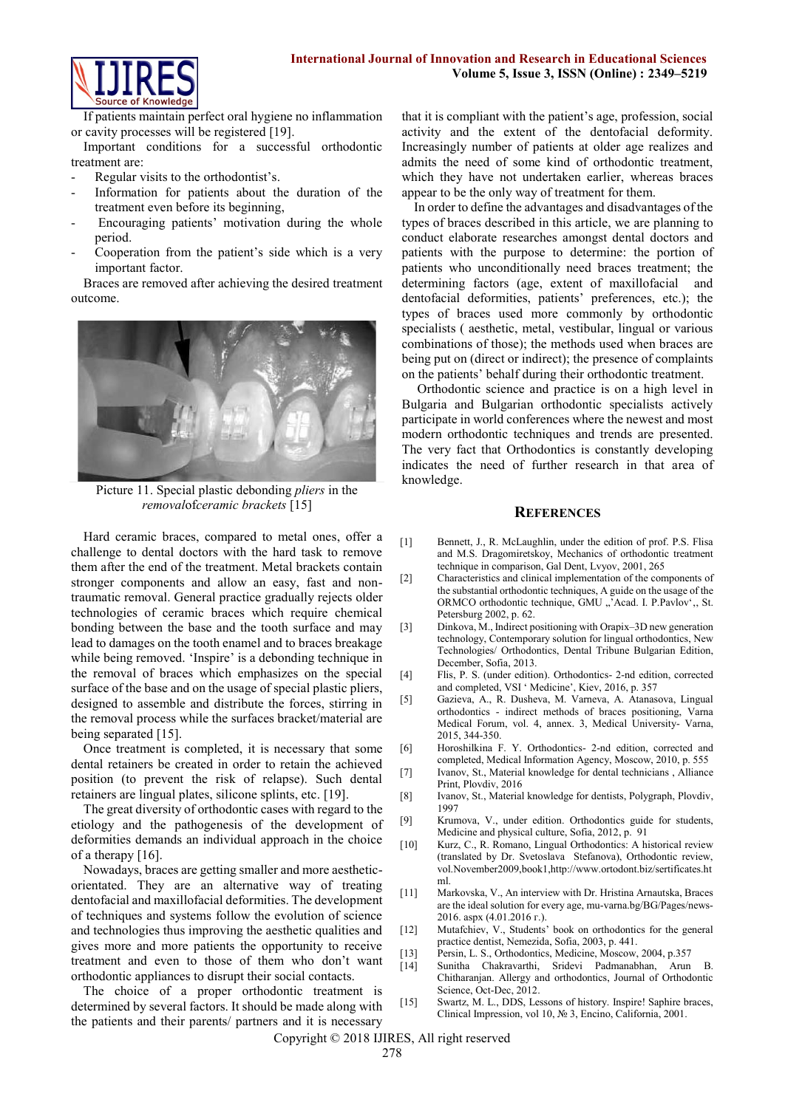

If patients maintain perfect oral hygiene no inflammation or cavity processes will be registered [19].

Important conditions for a successful orthodontic treatment are:

- Regular visits to the orthodontist's.
- Information for patients about the duration of the treatment even before its beginning,
- Encouraging patients' motivation during the whole period.
- Cooperation from the patient's side which is a very important factor.

Braces are removed after achieving the desired treatment outcome.



Picture 11. Special plastic debonding *pliers* in the *removal*of*ceramic brackets* [15]

Hard ceramic braces, compared to metal ones, offer a challenge to dental doctors with the hard task to remove them after the end of the treatment. Metal brackets contain stronger components and allow an easy, fast and nontraumatic removal. General practice gradually rejects older technologies of ceramic braces which require chemical bonding between the base and the tooth surface and may lead to damages on the tooth enamel and to braces breakage while being removed. 'Inspire' is a debonding technique in the removal of braces which emphasizes on the special surface of the base and on the usage of special plastic pliers, designed to assemble and distribute the forces, stirring in the removal process while the surfaces bracket/material are being separated [15].

Once treatment is completed, it is necessary that some dental retainers be created in order to retain the achieved position (to prevent the risk of relapse). Such dental retainers are lingual plates, silicone splints, etc. [19].

The great diversity of orthodontic cases with regard to the etiology and the pathogenesis of the development of deformities demands an individual approach in the choice of a therapy [16].

Nowadays, braces are getting smaller and more aestheticorientated. They are an alternative way of treating dentofacial and maxillofacial deformities. The development of techniques and systems follow the evolution of science and technologies thus improving the aesthetic qualities and gives more and more patients the opportunity to receive treatment and even to those of them who don't want orthodontic appliances to disrupt their social contacts.

The choice of a proper orthodontic treatment is determined by several factors. It should be made along with the patients and their parents/ partners and it is necessary that it is compliant with the patient's age, profession, social activity and the extent of the dentofacial deformity. Increasingly number of patients at older age realizes and admits the need of some kind of orthodontic treatment, which they have not undertaken earlier, whereas braces appear to be the only way of treatment for them.

In order to define the advantages and disadvantages of the types of braces described in this article, we are planning to conduct elaborate researches amongst dental doctors and patients with the purpose to determine: the portion of patients who unconditionally need braces treatment; the determining factors (age, extent of maxillofacial and dentofacial deformities, patients' preferences, etc.); the types of braces used more commonly by orthodontic specialists ( aesthetic, metal, vestibular, lingual or various combinations of those); the methods used when braces are being put on (direct or indirect); the presence of complaints on the patients' behalf during their orthodontic treatment.

Orthodontic science and practice is on a high level in Bulgaria and Bulgarian orthodontic specialists actively participate in world conferences where the newest and most modern orthodontic techniques and trends are presented. The very fact that Orthodontics is constantly developing indicates the need of further research in that area of knowledge.

## **REFERENCES**

- [1] Bennett, J., R. McLaughlin, under the edition of prof. P.S. Flisa and M.S. Dragomiretskoy, Mechanics of orthodontic treatment technique in comparison, Gal Dent, Lvyov, 2001, 265
- [2] Characteristics and clinical implementation of the components of the substantial orthodontic techniques, A guide on the usage of the ORMCO orthodontic technique, GMU "'Acad. I. P.Pavlov', St. Petersburg 2002, p. 62.
- [3] Dinkova, M., Indirect positioning with Orapix–3D new generation technology, Contemporary solution for lingual orthodontics, New Technologies/ Orthodontics, Dental Tribune Bulgarian Edition, December, Sofia, 2013.
- [4] Flis, P. S. (under edition). Orthodontics- 2-nd edition, corrected and completed, VSI ' Medicine', Kiev, 2016, p. 357
- [5] Gazieva, A., R. Dusheva, M. Varneva, A. Atanasova, Lingual orthodontics - indirect methods of braces positioning, Varna Medical Forum, vol. 4, annex. 3, Medical University- Varna, 2015, 344-350.
- [6] Horoshilkina F. Y. Orthodontics- 2-nd edition, corrected and completed, Medical Information Agency, Moscow, 2010, p. 555
- [7] Ivanov, St., Material knowledge for dental technicians , Alliance Print, Plovdiv, 2016
- [8] Ivanov, St., Material knowledge for dentists, Polygraph, Plovdiv, 1997
- [9] Krumova, V., under edition. Orthodontics guide for students, Medicine and physical culture, Sofia, 2012, p. 91
- [10] Kurz, C., R. Romano, Lingual Orthodontics: A historical review (translated by Dr. Svetoslava Stefanova), Orthodontic review, vol.November2009,book1,http://www.ortodont.biz/sertificates.ht ml.
- [11] Markovska, V., An interview with Dr. Hristina Arnautska, Braces are the ideal solution for every age, mu-varna.bg/BG/Pages/news-2016. aspx (4.01.2016 г.).
- [12] Mutafchiev, V., Students' book on orthodontics for the general practice dentist, Nemezida, Sofia, 2003, p. 441.
- [13] Persin, L. S., Orthodontics, Medicine, Moscow, 2004, p.357
- [14] Sunitha Chakravarthi, Sridevi Padmanabhan, Arun B. Chitharanjan. Allergy and orthodontics, Journal of Orthodontic Science, Oct-Dec, 2012.
- [15] Swartz, M. L., DDS, Lessons of history. Inspire! Saphire braces, Clinical Impression, vol 10, № 3, Encino, California, 2001.